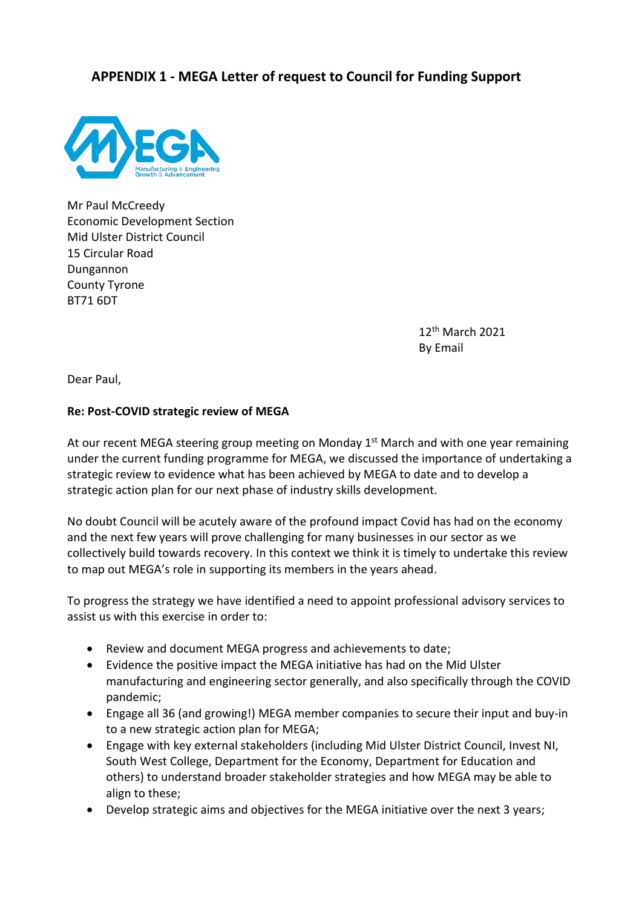## **APPENDIX 1 - MEGA Letter of request to Council for Funding Support**



Mr Paul McCreedy Economic Development Section Mid Ulster District Council 15 Circular Road Dungannon County Tyrone BT71 6DT

> 12th March 2021 By Email

Dear Paul,

## **Re: Post-COVID strategic review of MEGA**

At our recent MEGA steering group meeting on Monday 1<sup>st</sup> March and with one year remaining under the current funding programme for MEGA, we discussed the importance of undertaking a strategic review to evidence what has been achieved by MEGA to date and to develop a strategic action plan for our next phase of industry skills development.

No doubt Council will be acutely aware of the profound impact Covid has had on the economy and the next few years will prove challenging for many businesses in our sector as we collectively build towards recovery. In this context we think it is timely to undertake this review to map out MEGA's role in supporting its members in the years ahead.

To progress the strategy we have identified a need to appoint professional advisory services to assist us with this exercise in order to:

- Review and document MEGA progress and achievements to date;
- Evidence the positive impact the MEGA initiative has had on the Mid Ulster manufacturing and engineering sector generally, and also specifically through the COVID pandemic;
- Engage all 36 (and growing!) MEGA member companies to secure their input and buy-in to a new strategic action plan for MEGA;
- Engage with key external stakeholders (including Mid Ulster District Council, Invest NI, South West College, Department for the Economy, Department for Education and others) to understand broader stakeholder strategies and how MEGA may be able to align to these;
- Develop strategic aims and objectives for the MEGA initiative over the next 3 years;